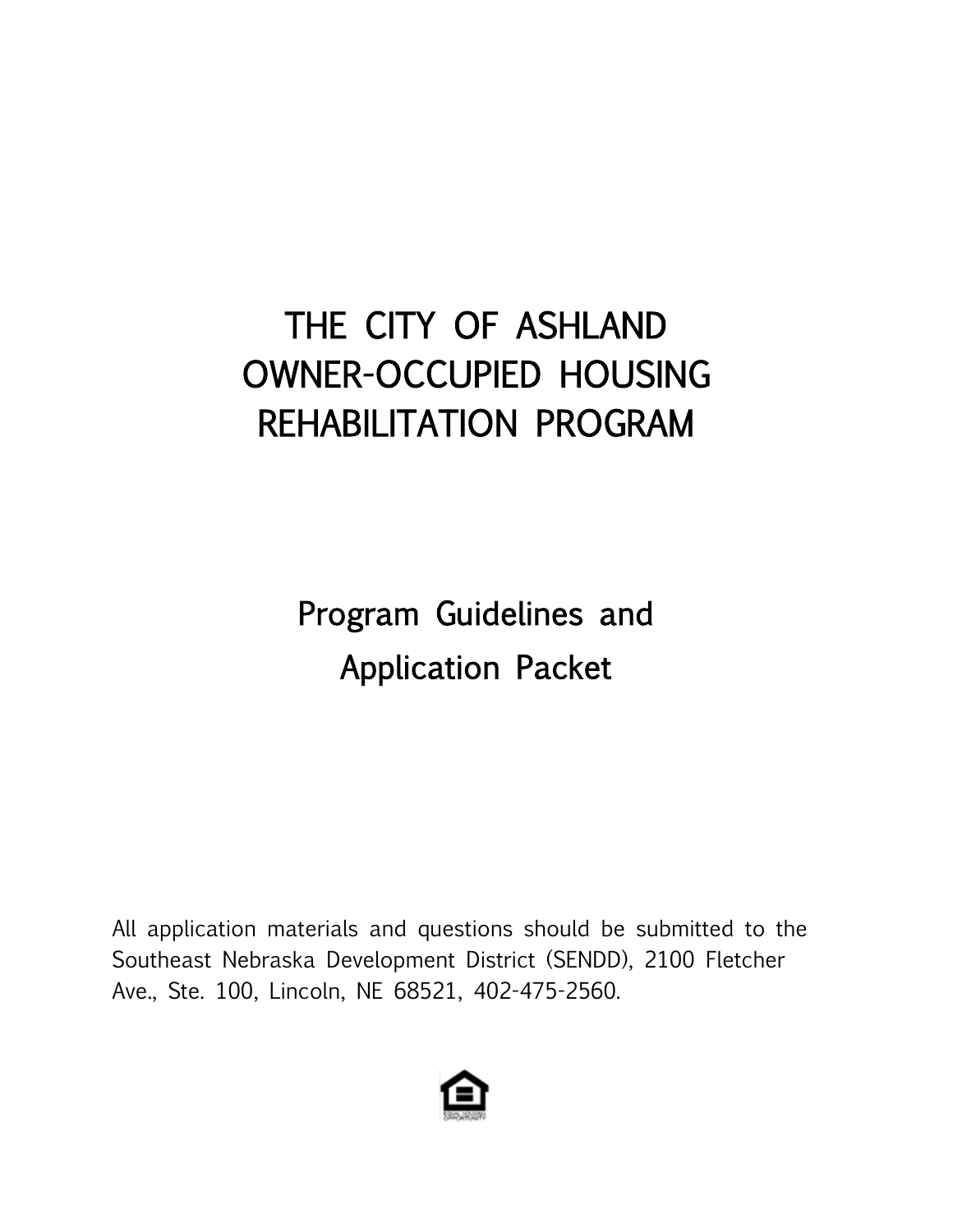# THE CITY OF ASHLAND OWNER-OCCUPIED HOUSING REHABILITATION PROGRAM

Program Guidelines and Application Packet

All application materials and questions should be submitted to the Southeast Nebraska Development District (SENDD), 2100 Fletcher Ave., Ste. 100, Lincoln, NE 68521, 402-475-2560.

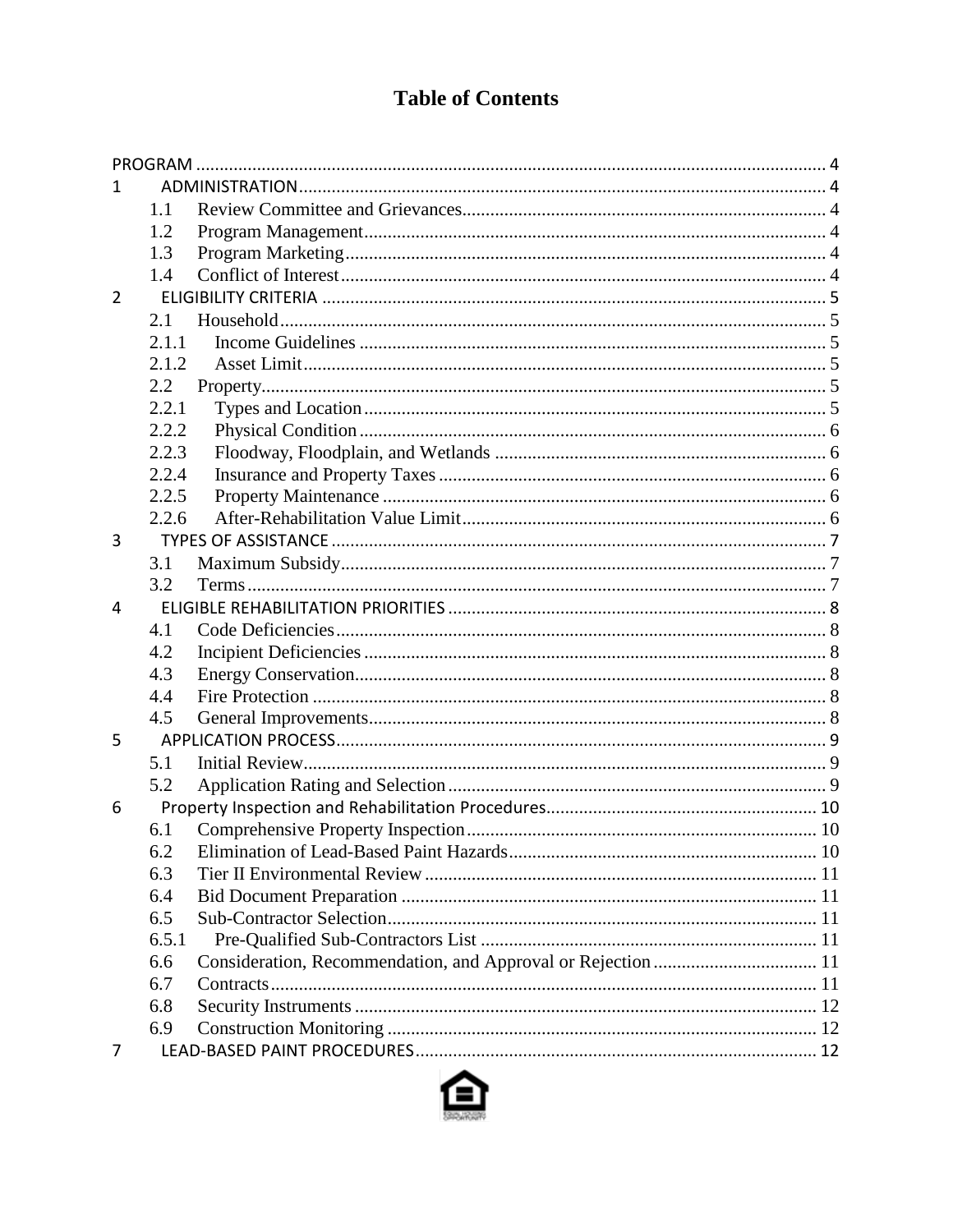# **Table of Contents**

| 1.             |       |  |
|----------------|-------|--|
|                | 1.1   |  |
|                | 1.2   |  |
|                | 1.3   |  |
|                | 1.4   |  |
| $\overline{2}$ |       |  |
|                | 2.1   |  |
|                | 2.1.1 |  |
|                | 2.1.2 |  |
|                | 2.2   |  |
|                | 2.2.1 |  |
|                | 2.2.2 |  |
|                | 2.2.3 |  |
|                | 2.2.4 |  |
|                | 2.2.5 |  |
|                | 2.2.6 |  |
| 3              |       |  |
|                | 3.1   |  |
|                | 3.2   |  |
| 4              |       |  |
|                | 4.1   |  |
|                | 4.2   |  |
|                | 4.3   |  |
|                | 4.4   |  |
|                | 4.5   |  |
| 5              |       |  |
|                | 5.1   |  |
|                | 5.2   |  |
| 6              |       |  |
|                | 6.1   |  |
|                | 6.2   |  |
|                | 6.3   |  |
|                | 6.4   |  |
|                | 6.5   |  |
|                | 6.5.1 |  |
|                | 6.6   |  |
|                | 6.7   |  |
|                | 6.8   |  |
|                | 6.9   |  |
| 7              |       |  |

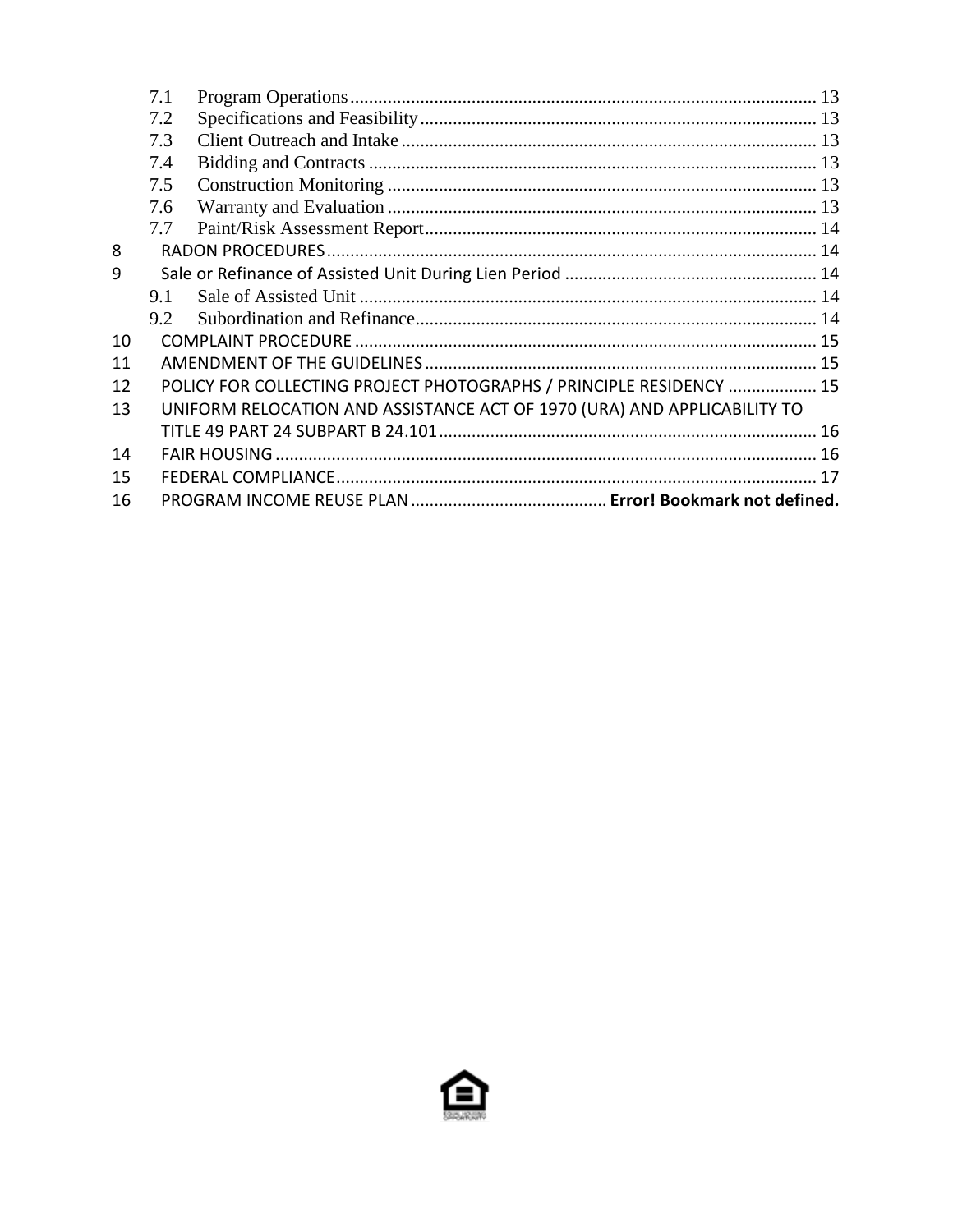|    | 7.1 |                                                                          |  |
|----|-----|--------------------------------------------------------------------------|--|
|    | 7.2 |                                                                          |  |
|    | 7.3 |                                                                          |  |
|    | 7.4 |                                                                          |  |
|    | 7.5 |                                                                          |  |
|    | 7.6 |                                                                          |  |
|    | 7.7 |                                                                          |  |
| 8  |     |                                                                          |  |
| 9  |     |                                                                          |  |
|    | 9.1 |                                                                          |  |
|    | 9.2 |                                                                          |  |
| 10 |     |                                                                          |  |
| 11 |     |                                                                          |  |
| 12 |     | POLICY FOR COLLECTING PROJECT PHOTOGRAPHS / PRINCIPLE RESIDENCY  15      |  |
| 13 |     | UNIFORM RELOCATION AND ASSISTANCE ACT OF 1970 (URA) AND APPLICABILITY TO |  |
|    |     |                                                                          |  |
| 14 |     |                                                                          |  |
| 15 |     |                                                                          |  |
| 16 |     |                                                                          |  |

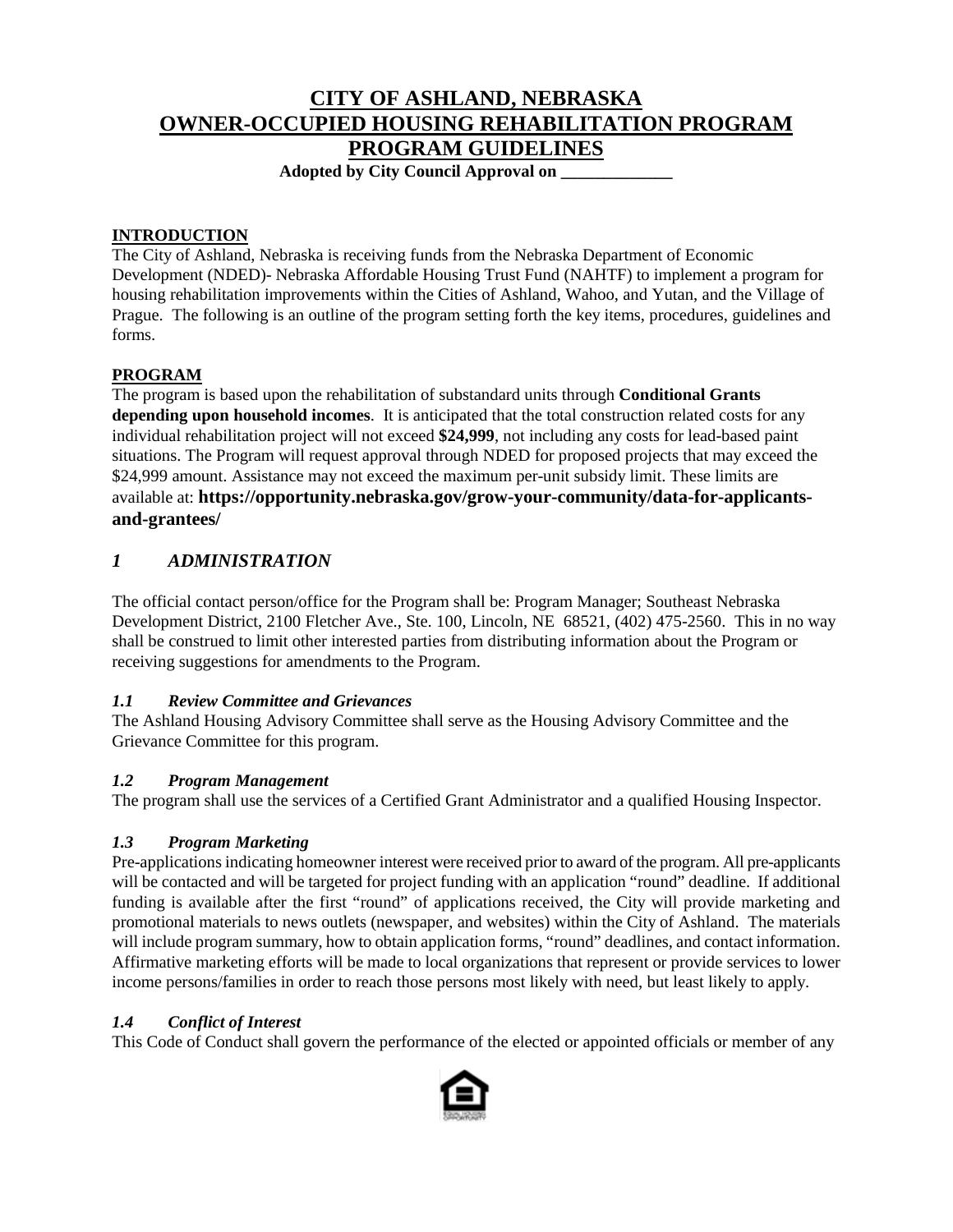# **CITY OF ASHLAND, NEBRASKA OWNER-OCCUPIED HOUSING REHABILITATION PROGRAM PROGRAM GUIDELINES**

**Adopted by City Council Approval on \_\_\_\_\_\_\_\_\_\_\_\_\_** 

#### **INTRODUCTION**

The City of Ashland, Nebraska is receiving funds from the Nebraska Department of Economic Development (NDED)- Nebraska Affordable Housing Trust Fund (NAHTF) to implement a program for housing rehabilitation improvements within the Cities of Ashland, Wahoo, and Yutan, and the Village of Prague. The following is an outline of the program setting forth the key items, procedures, guidelines and forms.

## <span id="page-3-0"></span>**PROGRAM**

The program is based upon the rehabilitation of substandard units through **Conditional Grants depending upon household incomes**. It is anticipated that the total construction related costs for any individual rehabilitation project will not exceed **\$24,999**, not including any costs for lead-based paint situations. The Program will request approval through NDED for proposed projects that may exceed the \$24,999 amount. Assistance may not exceed the maximum per-unit subsidy limit. These limits are available at: **https://opportunity.nebraska.gov/grow-your-community/data-for-applicantsand-grantees/**

# <span id="page-3-1"></span>*1 ADMINISTRATION*

The official contact person/office for the Program shall be: Program Manager; Southeast Nebraska Development District, 2100 Fletcher Ave., Ste. 100, Lincoln, NE 68521, (402) 475-2560. This in no way shall be construed to limit other interested parties from distributing information about the Program or receiving suggestions for amendments to the Program.

#### <span id="page-3-2"></span>*1.1 Review Committee and Grievances*

The Ashland Housing Advisory Committee shall serve as the Housing Advisory Committee and the Grievance Committee for this program.

#### <span id="page-3-3"></span>*1.2 Program Management*

The program shall use the services of a Certified Grant Administrator and a qualified Housing Inspector.

#### <span id="page-3-4"></span>*1.3 Program Marketing*

Pre-applications indicating homeowner interest were received prior to award of the program. All pre-applicants will be contacted and will be targeted for project funding with an application "round" deadline. If additional funding is available after the first "round" of applications received, the City will provide marketing and promotional materials to news outlets (newspaper, and websites) within the City of Ashland. The materials will include program summary, how to obtain application forms, "round" deadlines, and contact information. Affirmative marketing efforts will be made to local organizations that represent or provide services to lower income persons/families in order to reach those persons most likely with need, but least likely to apply.

#### <span id="page-3-5"></span>*1.4 Conflict of Interest*

This Code of Conduct shall govern the performance of the elected or appointed officials or member of any

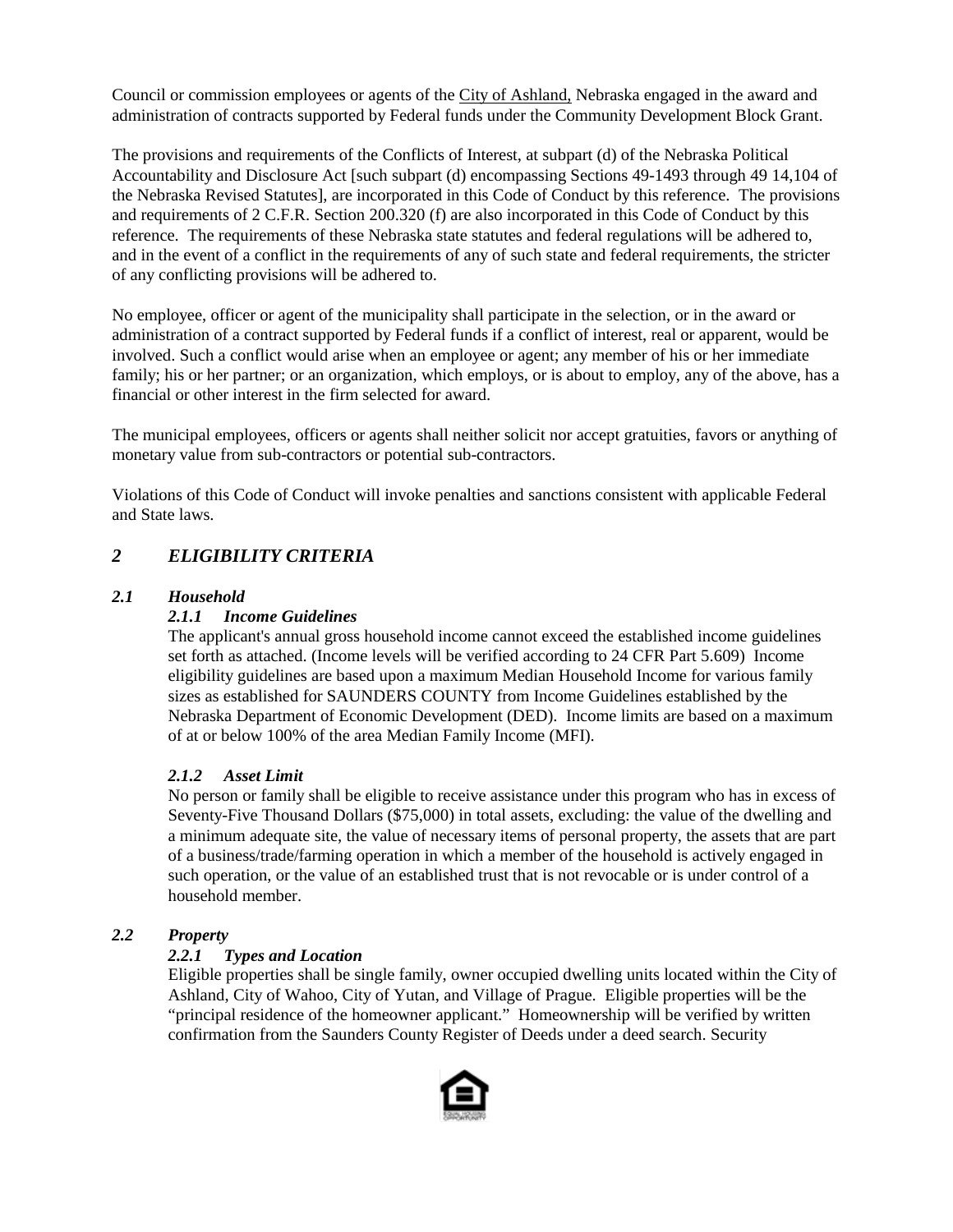Council or commission employees or agents of the City of Ashland, Nebraska engaged in the award and administration of contracts supported by Federal funds under the Community Development Block Grant.

The provisions and requirements of the Conflicts of Interest, at subpart (d) of the Nebraska Political Accountability and Disclosure Act [such subpart (d) encompassing Sections 49-1493 through 49 14,104 of the Nebraska Revised Statutes], are incorporated in this Code of Conduct by this reference. The provisions and requirements of 2 C.F.R. Section 200.320 (f) are also incorporated in this Code of Conduct by this reference. The requirements of these Nebraska state statutes and federal regulations will be adhered to, and in the event of a conflict in the requirements of any of such state and federal requirements, the stricter of any conflicting provisions will be adhered to.

No employee, officer or agent of the municipality shall participate in the selection, or in the award or administration of a contract supported by Federal funds if a conflict of interest, real or apparent, would be involved. Such a conflict would arise when an employee or agent; any member of his or her immediate family; his or her partner; or an organization, which employs, or is about to employ, any of the above, has a financial or other interest in the firm selected for award.

The municipal employees, officers or agents shall neither solicit nor accept gratuities, favors or anything of monetary value from sub-contractors or potential sub-contractors.

Violations of this Code of Conduct will invoke penalties and sanctions consistent with applicable Federal and State laws.

# <span id="page-4-0"></span>*2 ELIGIBILITY CRITERIA*

#### <span id="page-4-2"></span><span id="page-4-1"></span>*2.1 Household*

#### *2.1.1 Income Guidelines*

The applicant's annual gross household income cannot exceed the established income guidelines set forth as attached. (Income levels will be verified according to 24 CFR Part 5.609) Income eligibility guidelines are based upon a maximum Median Household Income for various family sizes as established for SAUNDERS COUNTY from Income Guidelines established by the Nebraska Department of Economic Development (DED). Income limits are based on a maximum of at or below 100% of the area Median Family Income (MFI).

#### <span id="page-4-3"></span>*2.1.2 Asset Limit*

No person or family shall be eligible to receive assistance under this program who has in excess of Seventy-Five Thousand Dollars (\$75,000) in total assets, excluding: the value of the dwelling and a minimum adequate site, the value of necessary items of personal property, the assets that are part of a business/trade/farming operation in which a member of the household is actively engaged in such operation, or the value of an established trust that is not revocable or is under control of a household member.

#### <span id="page-4-5"></span><span id="page-4-4"></span>*2.2 Property*

#### *2.2.1 Types and Location*

Eligible properties shall be single family, owner occupied dwelling units located within the City of Ashland, City of Wahoo, City of Yutan, and Village of Prague. Eligible properties will be the "principal residence of the homeowner applicant." Homeownership will be verified by written confirmation from the Saunders County Register of Deeds under a deed search. Security

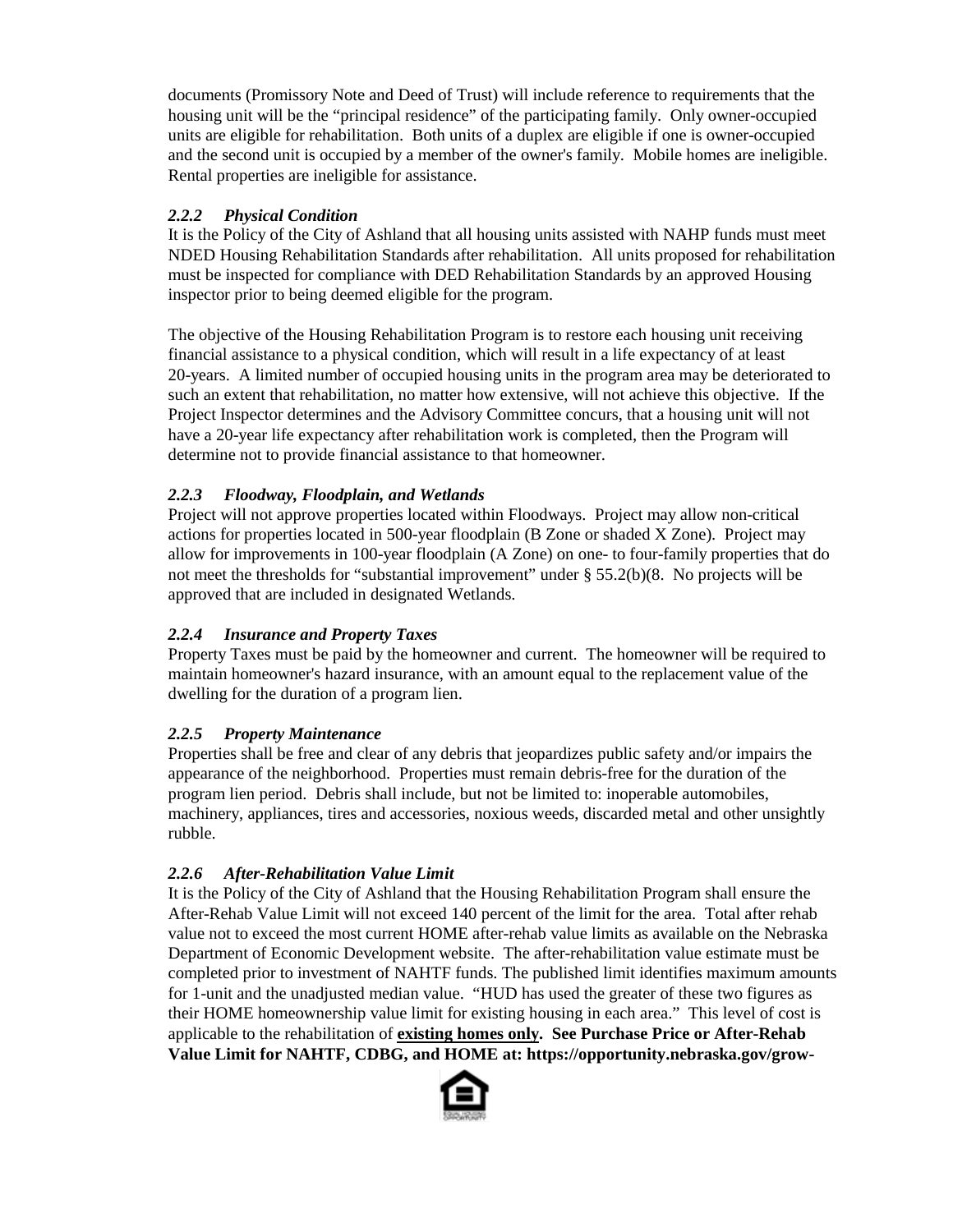documents (Promissory Note and Deed of Trust) will include reference to requirements that the housing unit will be the "principal residence" of the participating family. Only owner-occupied units are eligible for rehabilitation. Both units of a duplex are eligible if one is owner-occupied and the second unit is occupied by a member of the owner's family. Mobile homes are ineligible. Rental properties are ineligible for assistance.

## <span id="page-5-0"></span>*2.2.2 Physical Condition*

It is the Policy of the City of Ashland that all housing units assisted with NAHP funds must meet NDED Housing Rehabilitation Standards after rehabilitation. All units proposed for rehabilitation must be inspected for compliance with DED Rehabilitation Standards by an approved Housing inspector prior to being deemed eligible for the program.

The objective of the Housing Rehabilitation Program is to restore each housing unit receiving financial assistance to a physical condition, which will result in a life expectancy of at least 20-years. A limited number of occupied housing units in the program area may be deteriorated to such an extent that rehabilitation, no matter how extensive, will not achieve this objective. If the Project Inspector determines and the Advisory Committee concurs, that a housing unit will not have a 20-year life expectancy after rehabilitation work is completed, then the Program will determine not to provide financial assistance to that homeowner.

#### <span id="page-5-1"></span>*2.2.3 Floodway, Floodplain, and Wetlands*

Project will not approve properties located within Floodways. Project may allow non-critical actions for properties located in 500-year floodplain (B Zone or shaded X Zone). Project may allow for improvements in 100-year floodplain (A Zone) on one- to four-family properties that do not meet the thresholds for "substantial improvement" under § 55.2(b)(8. No projects will be approved that are included in designated Wetlands.

# <span id="page-5-2"></span>*2.2.4 Insurance and Property Taxes*

Property Taxes must be paid by the homeowner and current. The homeowner will be required to maintain homeowner's hazard insurance, with an amount equal to the replacement value of the dwelling for the duration of a program lien.

#### <span id="page-5-3"></span>*2.2.5 Property Maintenance*

Properties shall be free and clear of any debris that jeopardizes public safety and/or impairs the appearance of the neighborhood. Properties must remain debris-free for the duration of the program lien period. Debris shall include, but not be limited to: inoperable automobiles, machinery, appliances, tires and accessories, noxious weeds, discarded metal and other unsightly rubble.

#### <span id="page-5-4"></span>*2.2.6 After-Rehabilitation Value Limit*

It is the Policy of the City of Ashland that the Housing Rehabilitation Program shall ensure the After-Rehab Value Limit will not exceed 140 percent of the limit for the area. Total after rehab value not to exceed the most current HOME after-rehab value limits as available on the Nebraska Department of Economic Development website. The after-rehabilitation value estimate must be completed prior to investment of NAHTF funds. The published limit identifies maximum amounts for 1-unit and the unadjusted median value. "HUD has used the greater of these two figures as their HOME homeownership value limit for existing housing in each area." This level of cost is applicable to the rehabilitation of **existing homes only. See Purchase Price or After-Rehab Value Limit for NAHTF, CDBG, and HOME at: https://opportunity.nebraska.gov/grow-**

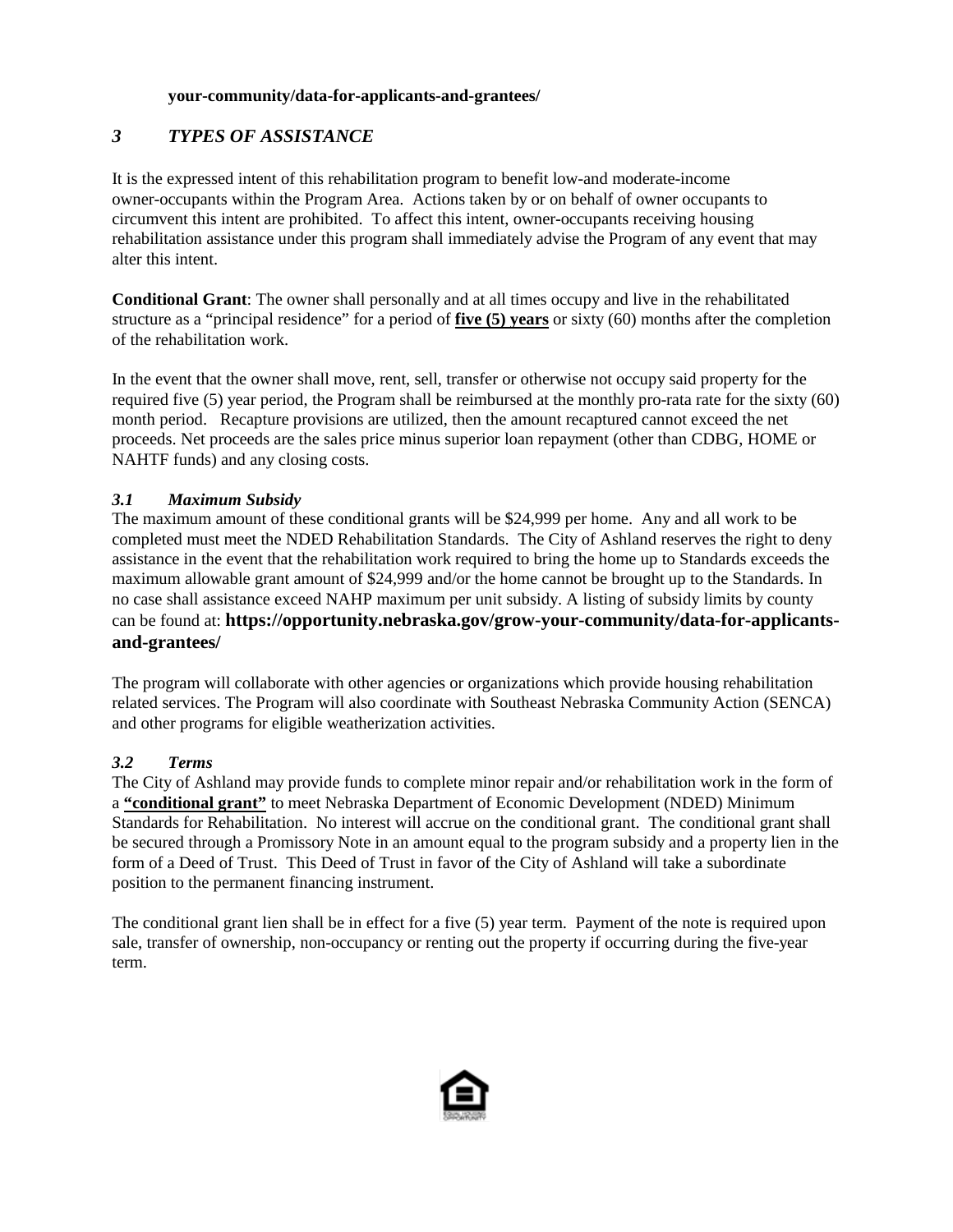#### **your-community/data-for-applicants-and-grantees/**

# <span id="page-6-0"></span>*3 TYPES OF ASSISTANCE*

It is the expressed intent of this rehabilitation program to benefit low-and moderate-income owner-occupants within the Program Area. Actions taken by or on behalf of owner occupants to circumvent this intent are prohibited. To affect this intent, owner-occupants receiving housing rehabilitation assistance under this program shall immediately advise the Program of any event that may alter this intent.

**Conditional Grant**: The owner shall personally and at all times occupy and live in the rehabilitated structure as a "principal residence" for a period of **five (5) years** or sixty (60) months after the completion of the rehabilitation work.

In the event that the owner shall move, rent, sell, transfer or otherwise not occupy said property for the required five (5) year period, the Program shall be reimbursed at the monthly pro-rata rate for the sixty (60) month period. Recapture provisions are utilized, then the amount recaptured cannot exceed the net proceeds. Net proceeds are the sales price minus superior loan repayment (other than CDBG, HOME or NAHTF funds) and any closing costs.

## <span id="page-6-1"></span>*3.1 Maximum Subsidy*

The maximum amount of these conditional grants will be \$24,999 per home. Any and all work to be completed must meet the NDED Rehabilitation Standards. The City of Ashland reserves the right to deny assistance in the event that the rehabilitation work required to bring the home up to Standards exceeds the maximum allowable grant amount of \$24,999 and/or the home cannot be brought up to the Standards. In no case shall assistance exceed NAHP maximum per unit subsidy. A listing of subsidy limits by county can be found at: **https://opportunity.nebraska.gov/grow-your-community/data-for-applicantsand-grantees/**

The program will collaborate with other agencies or organizations which provide housing rehabilitation related services. The Program will also coordinate with Southeast Nebraska Community Action (SENCA) and other programs for eligible weatherization activities.

#### <span id="page-6-2"></span>*3.2 Terms*

The City of Ashland may provide funds to complete minor repair and/or rehabilitation work in the form of a **"conditional grant"** to meet Nebraska Department of Economic Development (NDED) Minimum Standards for Rehabilitation. No interest will accrue on the conditional grant. The conditional grant shall be secured through a Promissory Note in an amount equal to the program subsidy and a property lien in the form of a Deed of Trust. This Deed of Trust in favor of the City of Ashland will take a subordinate position to the permanent financing instrument.

The conditional grant lien shall be in effect for a five (5) year term. Payment of the note is required upon sale, transfer of ownership, non-occupancy or renting out the property if occurring during the five-year term.

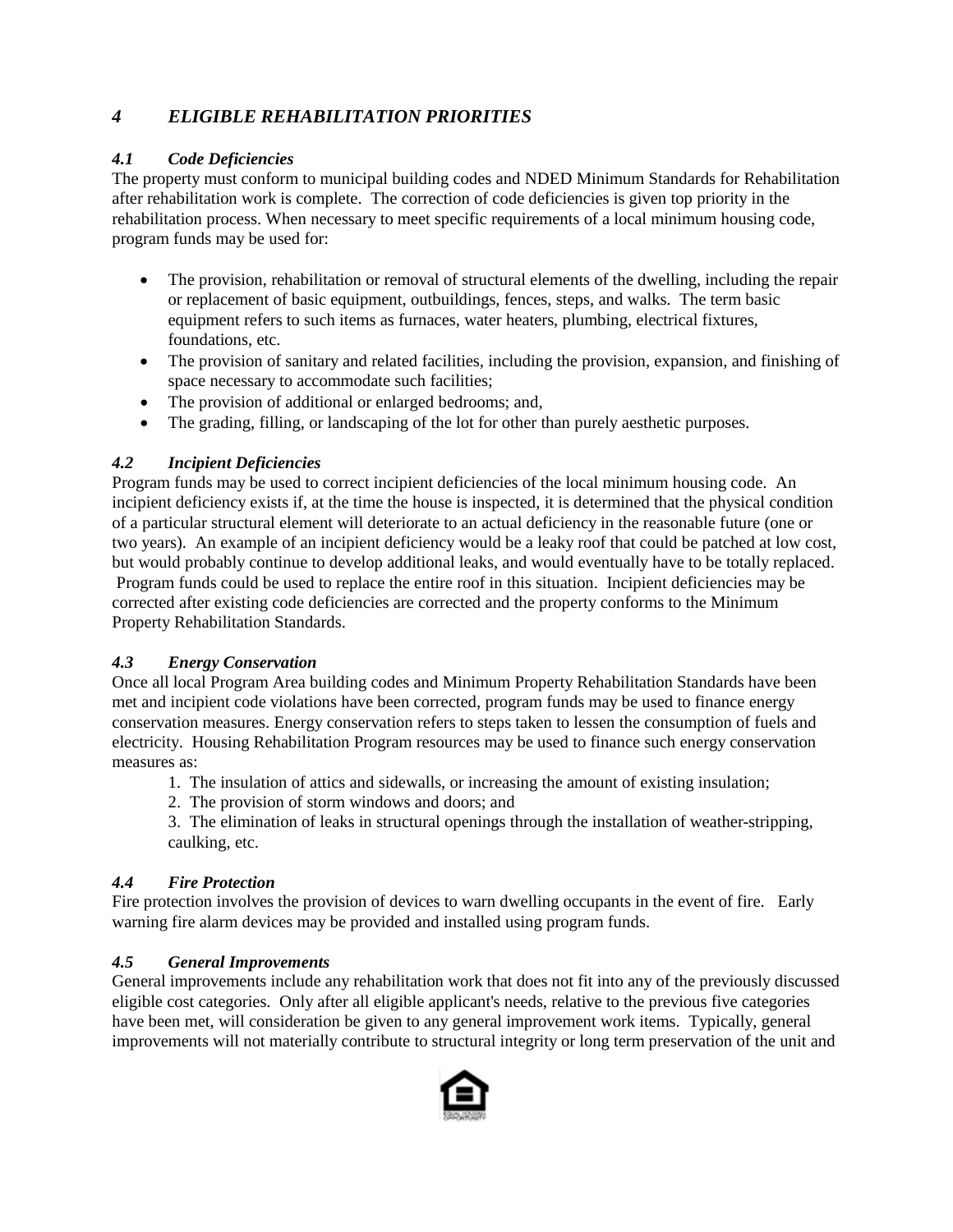# <span id="page-7-0"></span>*4 ELIGIBLE REHABILITATION PRIORITIES*

## <span id="page-7-1"></span>*4.1 Code Deficiencies*

The property must conform to municipal building codes and NDED Minimum Standards for Rehabilitation after rehabilitation work is complete. The correction of code deficiencies is given top priority in the rehabilitation process. When necessary to meet specific requirements of a local minimum housing code, program funds may be used for:

- The provision, rehabilitation or removal of structural elements of the dwelling, including the repair or replacement of basic equipment, outbuildings, fences, steps, and walks. The term basic equipment refers to such items as furnaces, water heaters, plumbing, electrical fixtures, foundations, etc.
- The provision of sanitary and related facilities, including the provision, expansion, and finishing of space necessary to accommodate such facilities;
- The provision of additional or enlarged bedrooms; and,
- The grading, filling, or landscaping of the lot for other than purely aesthetic purposes.

## <span id="page-7-2"></span>*4.2 Incipient Deficiencies*

Program funds may be used to correct incipient deficiencies of the local minimum housing code. An incipient deficiency exists if, at the time the house is inspected, it is determined that the physical condition of a particular structural element will deteriorate to an actual deficiency in the reasonable future (one or two years). An example of an incipient deficiency would be a leaky roof that could be patched at low cost, but would probably continue to develop additional leaks, and would eventually have to be totally replaced. Program funds could be used to replace the entire roof in this situation. Incipient deficiencies may be corrected after existing code deficiencies are corrected and the property conforms to the Minimum Property Rehabilitation Standards.

# <span id="page-7-3"></span>*4.3 Energy Conservation*

Once all local Program Area building codes and Minimum Property Rehabilitation Standards have been met and incipient code violations have been corrected, program funds may be used to finance energy conservation measures. Energy conservation refers to steps taken to lessen the consumption of fuels and electricity. Housing Rehabilitation Program resources may be used to finance such energy conservation measures as:

- 1. The insulation of attics and sidewalls, or increasing the amount of existing insulation;
- 2. The provision of storm windows and doors; and

3. The elimination of leaks in structural openings through the installation of weather-stripping, caulking, etc.

#### <span id="page-7-4"></span>*4.4 Fire Protection*

Fire protection involves the provision of devices to warn dwelling occupants in the event of fire. Early warning fire alarm devices may be provided and installed using program funds.

#### <span id="page-7-5"></span>*4.5 General Improvements*

General improvements include any rehabilitation work that does not fit into any of the previously discussed eligible cost categories. Only after all eligible applicant's needs, relative to the previous five categories have been met, will consideration be given to any general improvement work items. Typically, general improvements will not materially contribute to structural integrity or long term preservation of the unit and

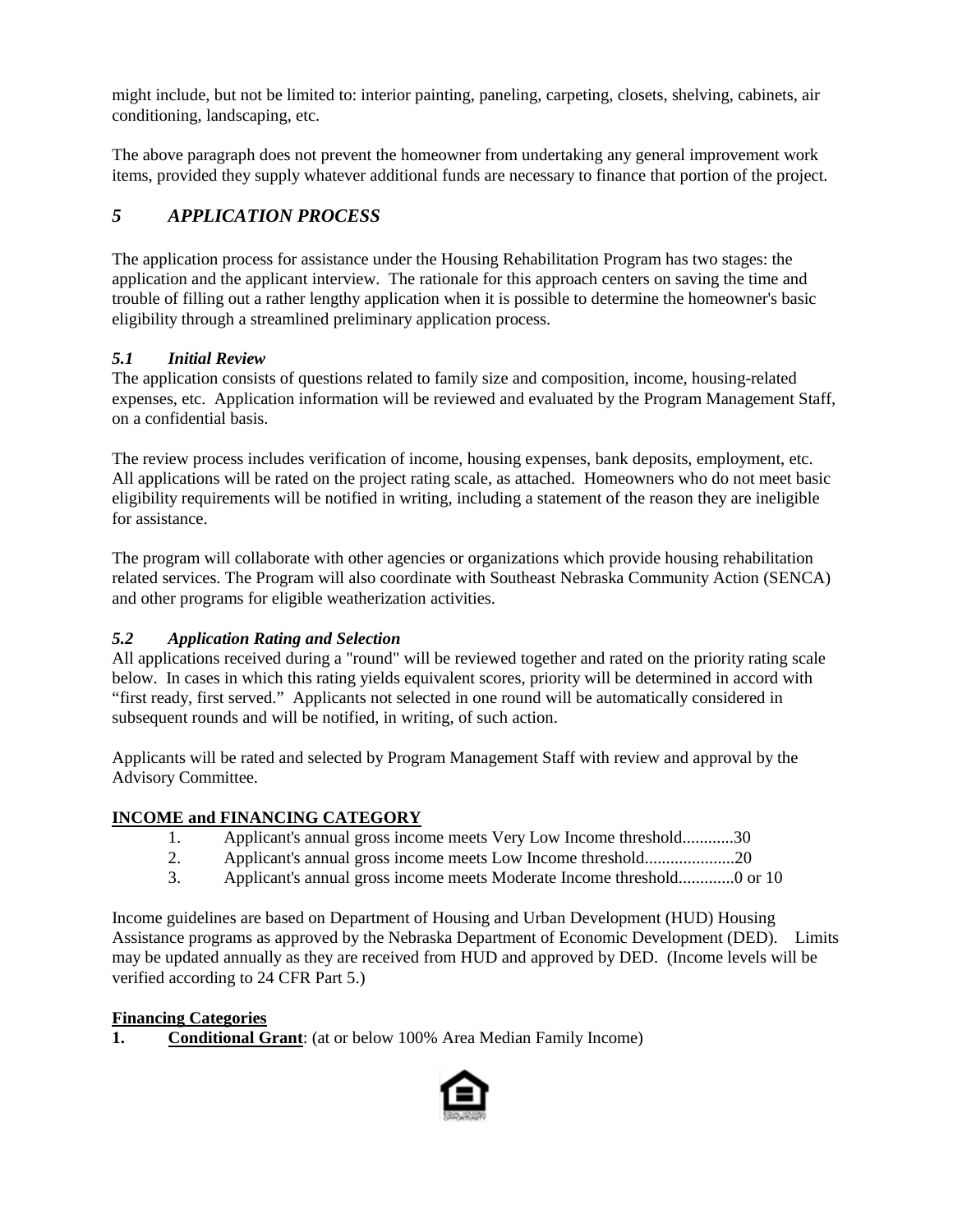might include, but not be limited to: interior painting, paneling, carpeting, closets, shelving, cabinets, air conditioning, landscaping, etc.

The above paragraph does not prevent the homeowner from undertaking any general improvement work items, provided they supply whatever additional funds are necessary to finance that portion of the project.

# <span id="page-8-0"></span>*5 APPLICATION PROCESS*

The application process for assistance under the Housing Rehabilitation Program has two stages: the application and the applicant interview. The rationale for this approach centers on saving the time and trouble of filling out a rather lengthy application when it is possible to determine the homeowner's basic eligibility through a streamlined preliminary application process.

# <span id="page-8-1"></span>*5.1 Initial Review*

The application consists of questions related to family size and composition, income, housing-related expenses, etc. Application information will be reviewed and evaluated by the Program Management Staff, on a confidential basis.

The review process includes verification of income, housing expenses, bank deposits, employment, etc. All applications will be rated on the project rating scale, as attached. Homeowners who do not meet basic eligibility requirements will be notified in writing, including a statement of the reason they are ineligible for assistance.

The program will collaborate with other agencies or organizations which provide housing rehabilitation related services. The Program will also coordinate with Southeast Nebraska Community Action (SENCA) and other programs for eligible weatherization activities.

# <span id="page-8-2"></span>*5.2 Application Rating and Selection*

All applications received during a "round" will be reviewed together and rated on the priority rating scale below. In cases in which this rating yields equivalent scores, priority will be determined in accord with "first ready, first served." Applicants not selected in one round will be automatically considered in subsequent rounds and will be notified, in writing, of such action.

Applicants will be rated and selected by Program Management Staff with review and approval by the Advisory Committee.

# **INCOME and FINANCING CATEGORY**

- 1. Applicant's annual gross income meets Very Low Income threshold............30
- 2. Applicant's annual gross income meets Low Income threshold.....................20
- 3. Applicant's annual gross income meets Moderate Income threshold.............0 or 10

Income guidelines are based on Department of Housing and Urban Development (HUD) Housing Assistance programs as approved by the Nebraska Department of Economic Development (DED). Limits may be updated annually as they are received from HUD and approved by DED. (Income levels will be verified according to 24 CFR Part 5.)

# **Financing Categories**

**1. Conditional Grant**: (at or below 100% Area Median Family Income)

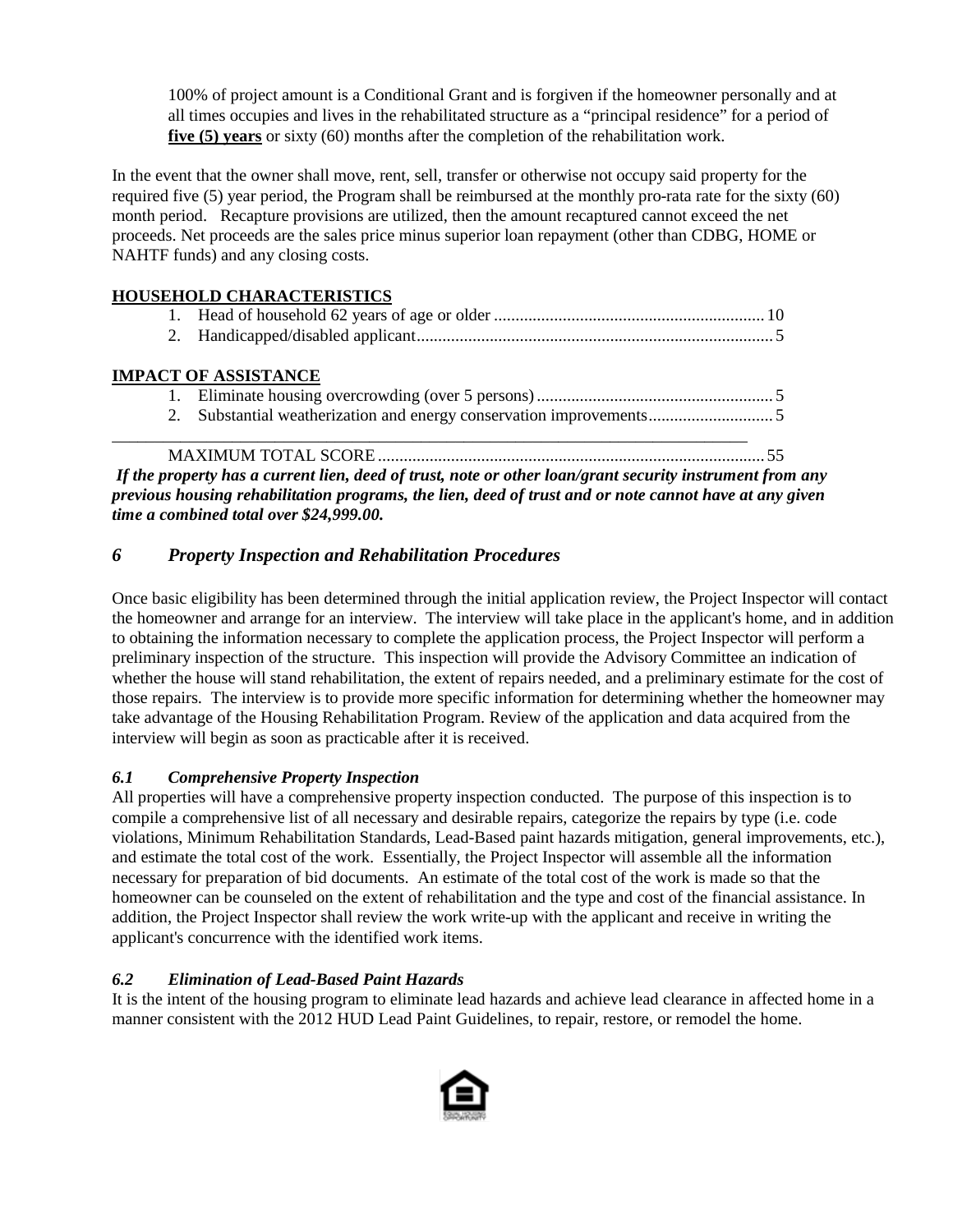100% of project amount is a Conditional Grant and is forgiven if the homeowner personally and at all times occupies and lives in the rehabilitated structure as a "principal residence" for a period of **five (5) years** or sixty (60) months after the completion of the rehabilitation work.

In the event that the owner shall move, rent, sell, transfer or otherwise not occupy said property for the required five (5) year period, the Program shall be reimbursed at the monthly pro-rata rate for the sixty (60) month period. Recapture provisions are utilized, then the amount recaptured cannot exceed the net proceeds. Net proceeds are the sales price minus superior loan repayment (other than CDBG, HOME or NAHTF funds) and any closing costs.

# **HOUSEHOLD CHARACTERISTICS**

# **IMPACT OF ASSISTANCE**

\_\_\_\_\_\_\_\_\_\_\_\_\_\_\_\_\_\_\_\_\_\_\_\_\_\_\_\_\_\_\_\_\_\_\_\_\_\_\_\_\_\_\_\_\_\_\_\_\_\_\_\_\_\_\_\_\_\_\_\_\_\_\_\_\_\_\_\_\_\_\_\_\_\_ MAXIMUM TOTAL SCORE .......................................................................................... 55

*If the property has a current lien, deed of trust, note or other loan/grant security instrument from any previous housing rehabilitation programs, the lien, deed of trust and or note cannot have at any given time a combined total over \$24,999.00.*

# <span id="page-9-0"></span>*6 Property Inspection and Rehabilitation Procedures*

Once basic eligibility has been determined through the initial application review, the Project Inspector will contact the homeowner and arrange for an interview. The interview will take place in the applicant's home, and in addition to obtaining the information necessary to complete the application process, the Project Inspector will perform a preliminary inspection of the structure. This inspection will provide the Advisory Committee an indication of whether the house will stand rehabilitation, the extent of repairs needed, and a preliminary estimate for the cost of those repairs. The interview is to provide more specific information for determining whether the homeowner may take advantage of the Housing Rehabilitation Program. Review of the application and data acquired from the interview will begin as soon as practicable after it is received.

# <span id="page-9-1"></span>*6.1 Comprehensive Property Inspection*

All properties will have a comprehensive property inspection conducted. The purpose of this inspection is to compile a comprehensive list of all necessary and desirable repairs, categorize the repairs by type (i.e. code violations, Minimum Rehabilitation Standards, Lead-Based paint hazards mitigation, general improvements, etc.), and estimate the total cost of the work. Essentially, the Project Inspector will assemble all the information necessary for preparation of bid documents. An estimate of the total cost of the work is made so that the homeowner can be counseled on the extent of rehabilitation and the type and cost of the financial assistance. In addition, the Project Inspector shall review the work write-up with the applicant and receive in writing the applicant's concurrence with the identified work items.

#### <span id="page-9-2"></span>*6.2 Elimination of Lead-Based Paint Hazards*

It is the intent of the housing program to eliminate lead hazards and achieve lead clearance in affected home in a manner consistent with the 2012 HUD Lead Paint Guidelines, to repair, restore, or remodel the home.

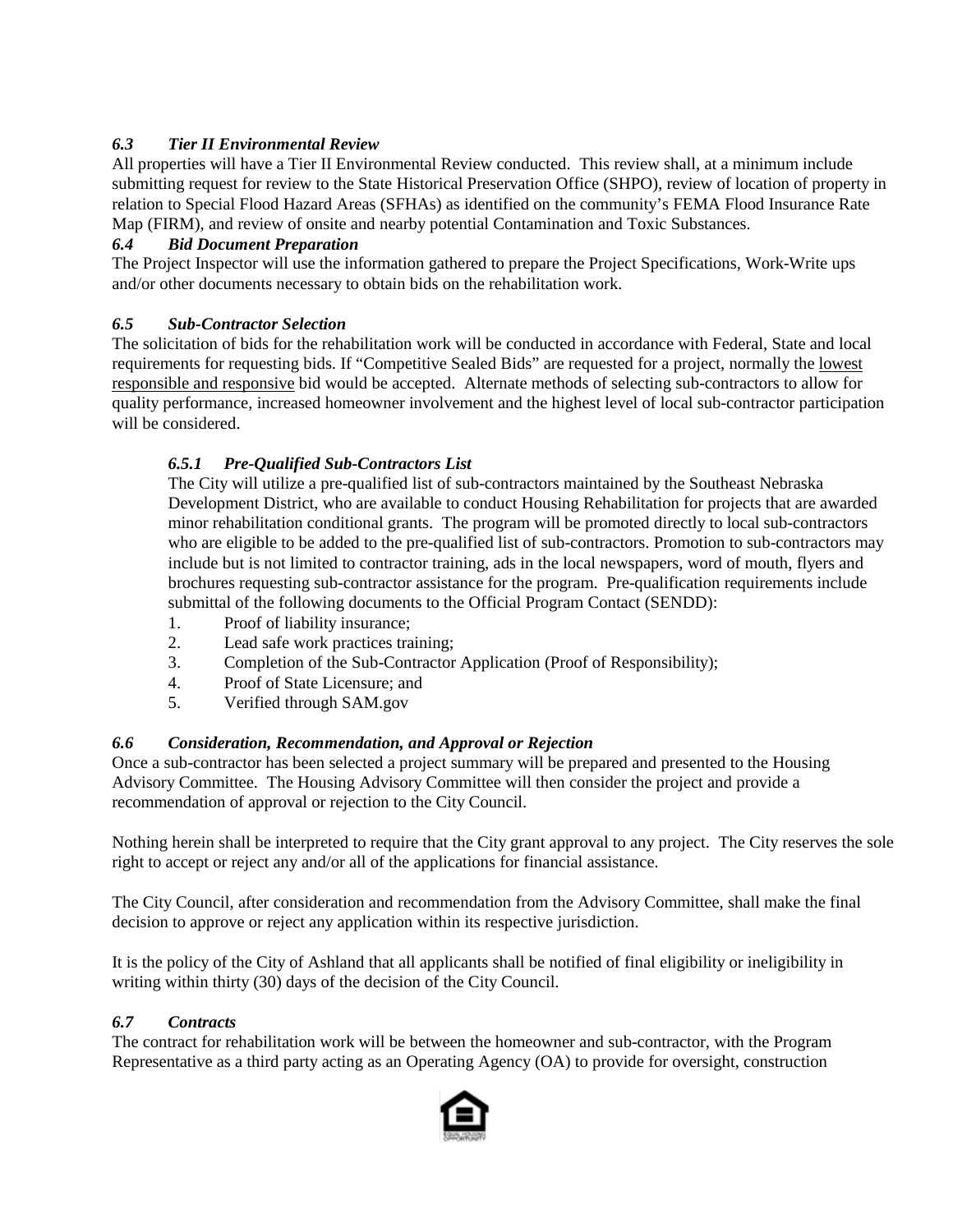## <span id="page-10-0"></span>*6.3 Tier II Environmental Review*

All properties will have a Tier II Environmental Review conducted. This review shall, at a minimum include submitting request for review to the State Historical Preservation Office (SHPO), review of location of property in relation to Special Flood Hazard Areas (SFHAs) as identified on the community's FEMA Flood Insurance Rate Map (FIRM), and review of onsite and nearby potential Contamination and Toxic Substances.

#### <span id="page-10-1"></span>*6.4 Bid Document Preparation*

The Project Inspector will use the information gathered to prepare the Project Specifications, Work-Write ups and/or other documents necessary to obtain bids on the rehabilitation work.

#### <span id="page-10-2"></span>*6.5 Sub-Contractor Selection*

The solicitation of bids for the rehabilitation work will be conducted in accordance with Federal, State and local requirements for requesting bids. If "Competitive Sealed Bids" are requested for a project, normally the lowest responsible and responsive bid would be accepted. Alternate methods of selecting sub-contractors to allow for quality performance, increased homeowner involvement and the highest level of local sub-contractor participation will be considered.

#### <span id="page-10-3"></span>*6.5.1 Pre-Qualified Sub-Contractors List*

The City will utilize a pre-qualified list of sub-contractors maintained by the Southeast Nebraska Development District, who are available to conduct Housing Rehabilitation for projects that are awarded minor rehabilitation conditional grants. The program will be promoted directly to local sub-contractors who are eligible to be added to the pre-qualified list of sub-contractors. Promotion to sub-contractors may include but is not limited to contractor training, ads in the local newspapers, word of mouth, flyers and brochures requesting sub-contractor assistance for the program. Pre-qualification requirements include submittal of the following documents to the Official Program Contact (SENDD):

- 1. Proof of liability insurance;
- 2. Lead safe work practices training;
- 3. Completion of the Sub-Contractor Application (Proof of Responsibility);
- 4. Proof of State Licensure; and
- 5. Verified through SAM.gov

#### <span id="page-10-4"></span>*6.6 Consideration, Recommendation, and Approval or Rejection*

Once a sub-contractor has been selected a project summary will be prepared and presented to the Housing Advisory Committee. The Housing Advisory Committee will then consider the project and provide a recommendation of approval or rejection to the City Council.

Nothing herein shall be interpreted to require that the City grant approval to any project. The City reserves the sole right to accept or reject any and/or all of the applications for financial assistance.

The City Council, after consideration and recommendation from the Advisory Committee, shall make the final decision to approve or reject any application within its respective jurisdiction.

It is the policy of the City of Ashland that all applicants shall be notified of final eligibility or ineligibility in writing within thirty (30) days of the decision of the City Council.

#### <span id="page-10-5"></span>*6.7 Contracts*

The contract for rehabilitation work will be between the homeowner and sub-contractor, with the Program Representative as a third party acting as an Operating Agency (OA) to provide for oversight, construction

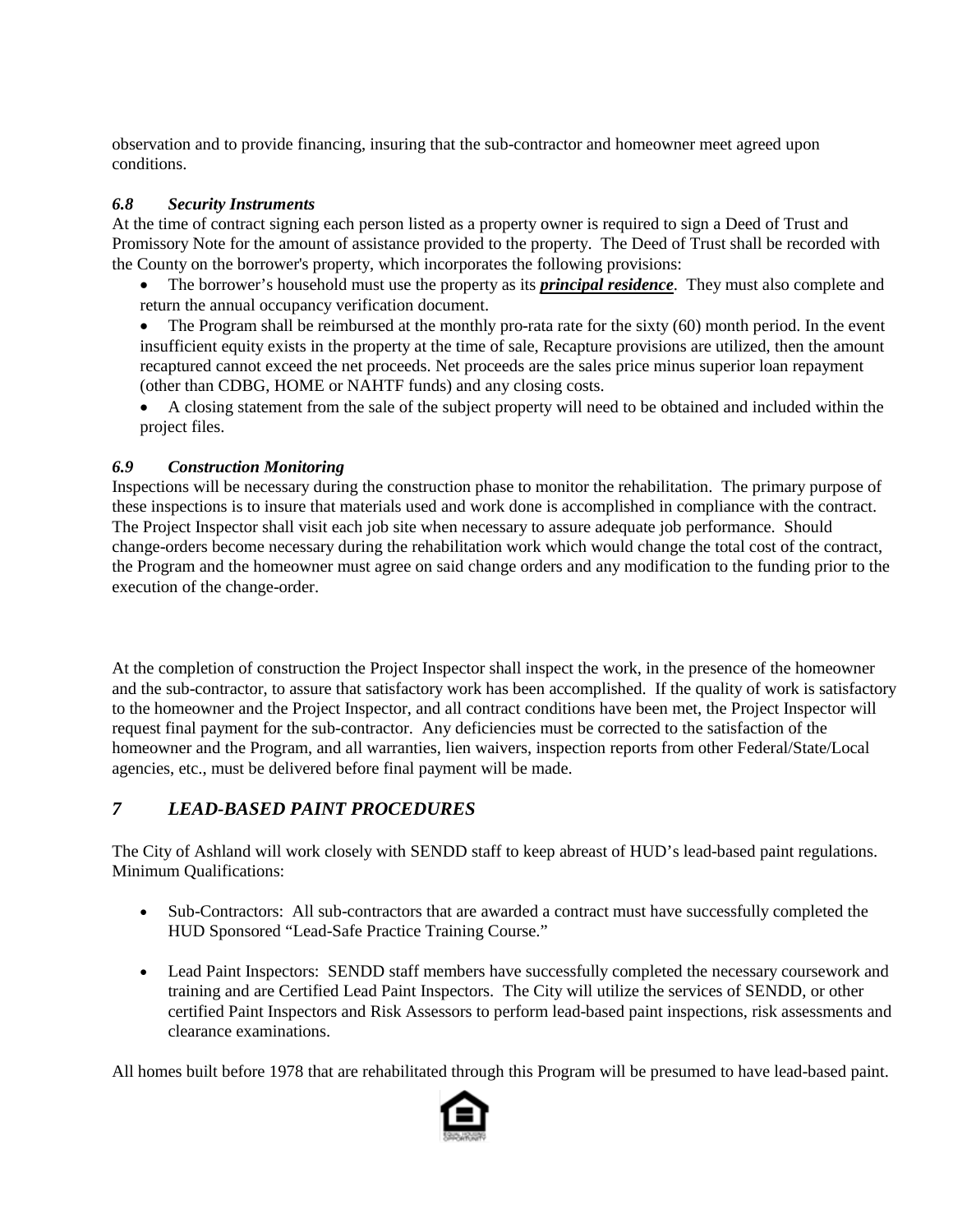observation and to provide financing, insuring that the sub-contractor and homeowner meet agreed upon conditions.

#### <span id="page-11-0"></span>*6.8 Security Instruments*

At the time of contract signing each person listed as a property owner is required to sign a Deed of Trust and Promissory Note for the amount of assistance provided to the property. The Deed of Trust shall be recorded with the County on the borrower's property, which incorporates the following provisions:

- The borrower's household must use the property as its *principal residence*. They must also complete and return the annual occupancy verification document.
- The Program shall be reimbursed at the monthly pro-rata rate for the sixty (60) month period. In the event insufficient equity exists in the property at the time of sale, Recapture provisions are utilized, then the amount recaptured cannot exceed the net proceeds. Net proceeds are the sales price minus superior loan repayment (other than CDBG, HOME or NAHTF funds) and any closing costs.
- A closing statement from the sale of the subject property will need to be obtained and included within the project files.

## <span id="page-11-1"></span>*6.9 Construction Monitoring*

Inspections will be necessary during the construction phase to monitor the rehabilitation. The primary purpose of these inspections is to insure that materials used and work done is accomplished in compliance with the contract. The Project Inspector shall visit each job site when necessary to assure adequate job performance. Should change-orders become necessary during the rehabilitation work which would change the total cost of the contract, the Program and the homeowner must agree on said change orders and any modification to the funding prior to the execution of the change-order.

At the completion of construction the Project Inspector shall inspect the work, in the presence of the homeowner and the sub-contractor, to assure that satisfactory work has been accomplished. If the quality of work is satisfactory to the homeowner and the Project Inspector, and all contract conditions have been met, the Project Inspector will request final payment for the sub-contractor. Any deficiencies must be corrected to the satisfaction of the homeowner and the Program, and all warranties, lien waivers, inspection reports from other Federal/State/Local agencies, etc., must be delivered before final payment will be made.

# <span id="page-11-2"></span>*7 LEAD-BASED PAINT PROCEDURES*

The City of Ashland will work closely with SENDD staff to keep abreast of HUD's lead-based paint regulations. Minimum Qualifications:

- Sub-Contractors: All sub-contractors that are awarded a contract must have successfully completed the HUD Sponsored "Lead-Safe Practice Training Course."
- Lead Paint Inspectors: SENDD staff members have successfully completed the necessary coursework and training and are Certified Lead Paint Inspectors. The City will utilize the services of SENDD, or other certified Paint Inspectors and Risk Assessors to perform lead-based paint inspections, risk assessments and clearance examinations.

All homes built before 1978 that are rehabilitated through this Program will be presumed to have lead-based paint.

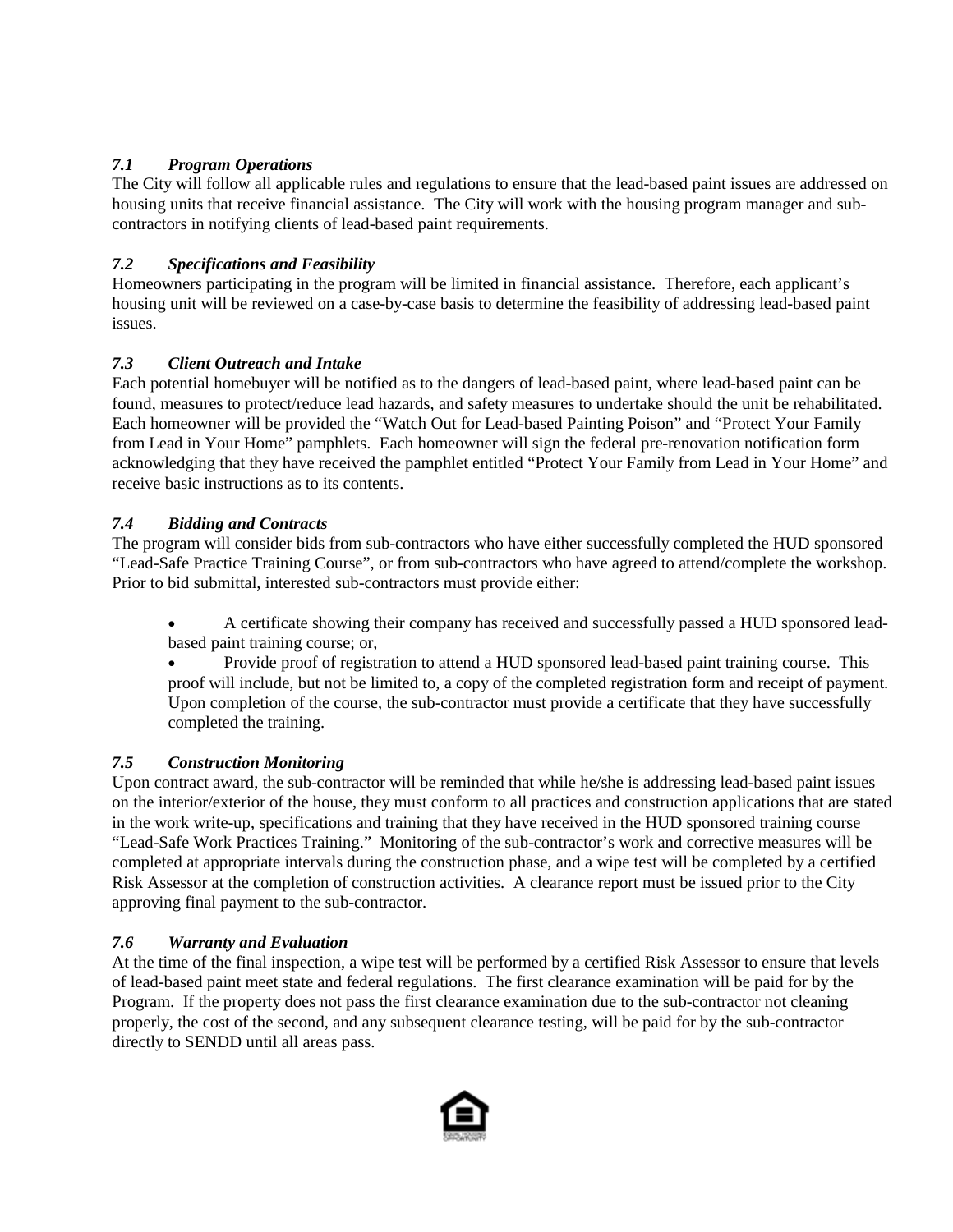## <span id="page-12-0"></span>*7.1 Program Operations*

The City will follow all applicable rules and regulations to ensure that the lead-based paint issues are addressed on housing units that receive financial assistance. The City will work with the housing program manager and subcontractors in notifying clients of lead-based paint requirements.

#### <span id="page-12-1"></span>*7.2 Specifications and Feasibility*

Homeowners participating in the program will be limited in financial assistance. Therefore, each applicant's housing unit will be reviewed on a case-by-case basis to determine the feasibility of addressing lead-based paint issues.

#### <span id="page-12-2"></span>*7.3 Client Outreach and Intake*

Each potential homebuyer will be notified as to the dangers of lead-based paint, where lead-based paint can be found, measures to protect/reduce lead hazards, and safety measures to undertake should the unit be rehabilitated. Each homeowner will be provided the "Watch Out for Lead-based Painting Poison" and "Protect Your Family from Lead in Your Home" pamphlets. Each homeowner will sign the federal pre-renovation notification form acknowledging that they have received the pamphlet entitled "Protect Your Family from Lead in Your Home" and receive basic instructions as to its contents.

#### <span id="page-12-3"></span>*7.4 Bidding and Contracts*

The program will consider bids from sub-contractors who have either successfully completed the HUD sponsored "Lead-Safe Practice Training Course", or from sub-contractors who have agreed to attend/complete the workshop. Prior to bid submittal, interested sub-contractors must provide either:

• A certificate showing their company has received and successfully passed a HUD sponsored leadbased paint training course; or,

• Provide proof of registration to attend a HUD sponsored lead-based paint training course. This proof will include, but not be limited to, a copy of the completed registration form and receipt of payment. Upon completion of the course, the sub-contractor must provide a certificate that they have successfully completed the training.

#### <span id="page-12-4"></span>*7.5 Construction Monitoring*

Upon contract award, the sub-contractor will be reminded that while he/she is addressing lead-based paint issues on the interior/exterior of the house, they must conform to all practices and construction applications that are stated in the work write-up, specifications and training that they have received in the HUD sponsored training course "Lead-Safe Work Practices Training." Monitoring of the sub-contractor's work and corrective measures will be completed at appropriate intervals during the construction phase, and a wipe test will be completed by a certified Risk Assessor at the completion of construction activities. A clearance report must be issued prior to the City approving final payment to the sub-contractor.

#### <span id="page-12-5"></span>*7.6 Warranty and Evaluation*

At the time of the final inspection, a wipe test will be performed by a certified Risk Assessor to ensure that levels of lead-based paint meet state and federal regulations. The first clearance examination will be paid for by the Program. If the property does not pass the first clearance examination due to the sub-contractor not cleaning properly, the cost of the second, and any subsequent clearance testing, will be paid for by the sub-contractor directly to SENDD until all areas pass.

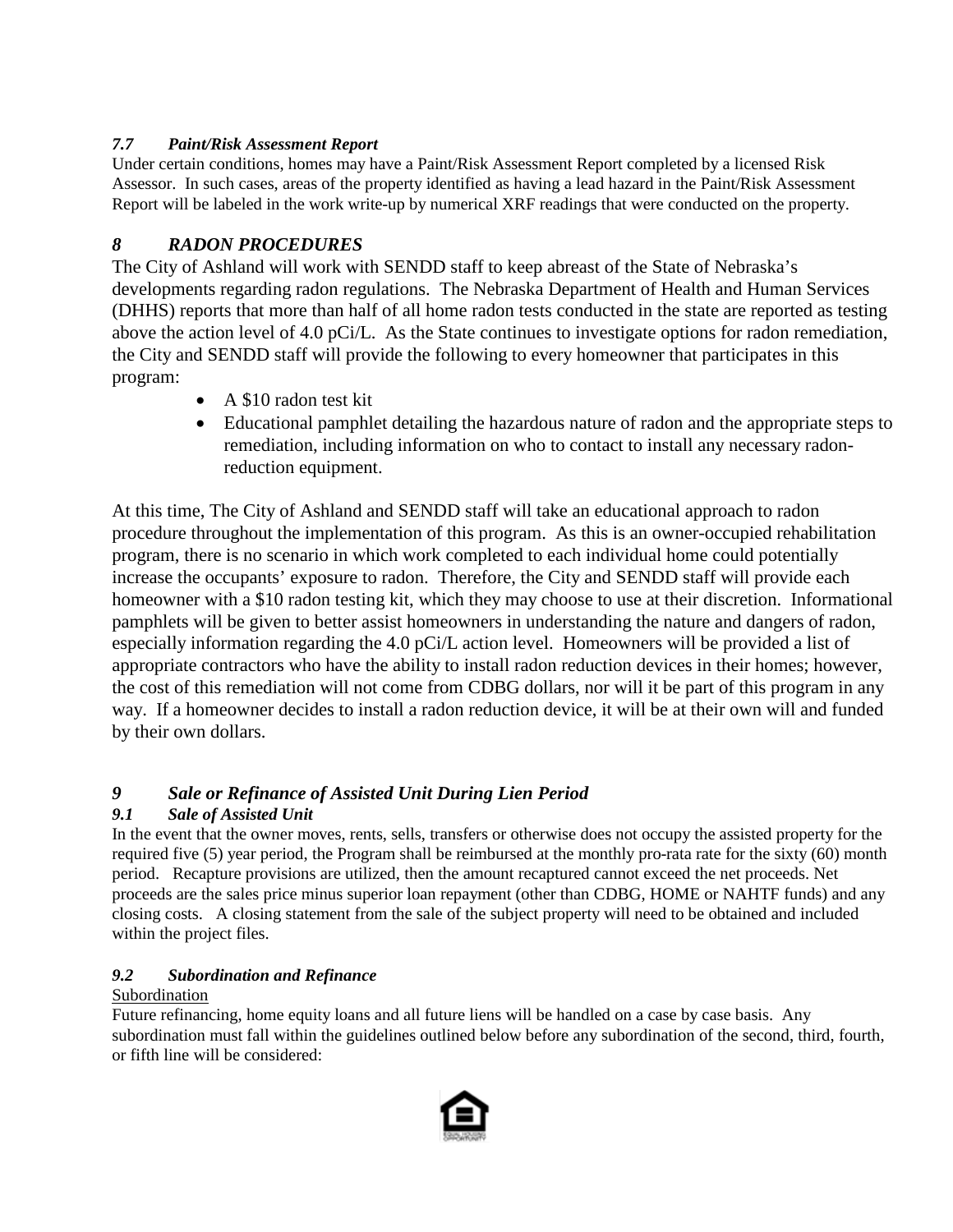# <span id="page-13-0"></span>*7.7 Paint/Risk Assessment Report*

Under certain conditions, homes may have a Paint/Risk Assessment Report completed by a licensed Risk Assessor. In such cases, areas of the property identified as having a lead hazard in the Paint/Risk Assessment Report will be labeled in the work write-up by numerical XRF readings that were conducted on the property.

# <span id="page-13-1"></span>*8 RADON PROCEDURES*

The City of Ashland will work with SENDD staff to keep abreast of the State of Nebraska's developments regarding radon regulations. The Nebraska Department of Health and Human Services (DHHS) reports that more than half of all home radon tests conducted in the state are reported as testing above the action level of 4.0 pCi/L. As the State continues to investigate options for radon remediation, the City and SENDD staff will provide the following to every homeowner that participates in this program:

- A \$10 radon test kit
- Educational pamphlet detailing the hazardous nature of radon and the appropriate steps to remediation, including information on who to contact to install any necessary radonreduction equipment.

At this time, The City of Ashland and SENDD staff will take an educational approach to radon procedure throughout the implementation of this program. As this is an owner-occupied rehabilitation program, there is no scenario in which work completed to each individual home could potentially increase the occupants' exposure to radon. Therefore, the City and SENDD staff will provide each homeowner with a \$10 radon testing kit, which they may choose to use at their discretion. Informational pamphlets will be given to better assist homeowners in understanding the nature and dangers of radon, especially information regarding the 4.0 pCi/L action level. Homeowners will be provided a list of appropriate contractors who have the ability to install radon reduction devices in their homes; however, the cost of this remediation will not come from CDBG dollars, nor will it be part of this program in any way. If a homeowner decides to install a radon reduction device, it will be at their own will and funded by their own dollars.

# <span id="page-13-2"></span>*9 Sale or Refinance of Assisted Unit During Lien Period*

# <span id="page-13-3"></span>*9.1 Sale of Assisted Unit*

In the event that the owner moves, rents, sells, transfers or otherwise does not occupy the assisted property for the required five (5) year period, the Program shall be reimbursed at the monthly pro-rata rate for the sixty (60) month period. Recapture provisions are utilized, then the amount recaptured cannot exceed the net proceeds. Net proceeds are the sales price minus superior loan repayment (other than CDBG, HOME or NAHTF funds) and any closing costs. A closing statement from the sale of the subject property will need to be obtained and included within the project files.

# <span id="page-13-4"></span>*9.2 Subordination and Refinance*

# Subordination

Future refinancing, home equity loans and all future liens will be handled on a case by case basis. Any subordination must fall within the guidelines outlined below before any subordination of the second, third, fourth, or fifth line will be considered:

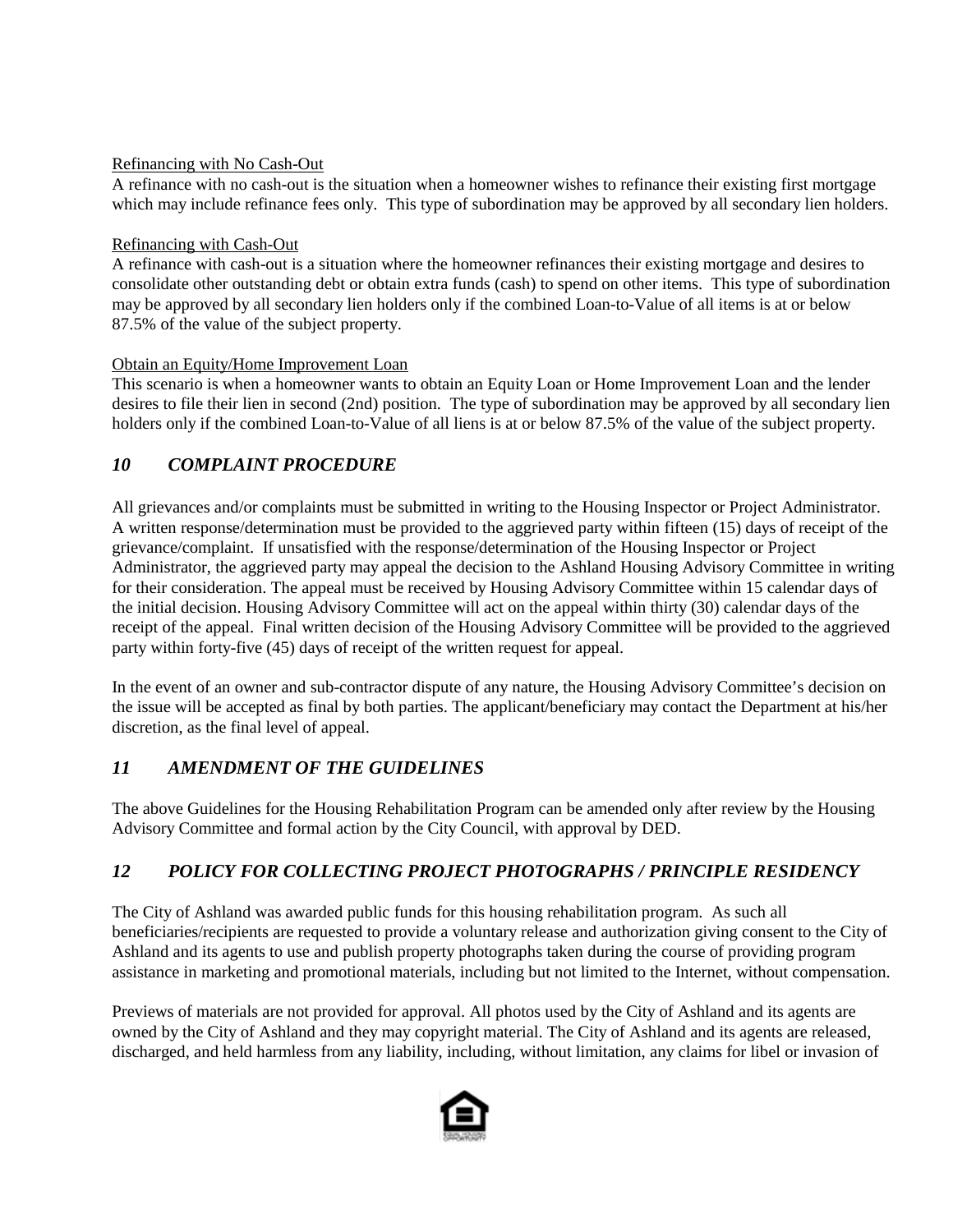#### Refinancing with No Cash-Out

A refinance with no cash-out is the situation when a homeowner wishes to refinance their existing first mortgage which may include refinance fees only. This type of subordination may be approved by all secondary lien holders.

#### Refinancing with Cash-Out

A refinance with cash-out is a situation where the homeowner refinances their existing mortgage and desires to consolidate other outstanding debt or obtain extra funds (cash) to spend on other items. This type of subordination may be approved by all secondary lien holders only if the combined Loan-to-Value of all items is at or below 87.5% of the value of the subject property.

#### Obtain an Equity/Home Improvement Loan

This scenario is when a homeowner wants to obtain an Equity Loan or Home Improvement Loan and the lender desires to file their lien in second (2nd) position. The type of subordination may be approved by all secondary lien holders only if the combined Loan-to-Value of all liens is at or below 87.5% of the value of the subject property.

# <span id="page-14-0"></span>*10 COMPLAINT PROCEDURE*

All grievances and/or complaints must be submitted in writing to the Housing Inspector or Project Administrator. A written response/determination must be provided to the aggrieved party within fifteen (15) days of receipt of the grievance/complaint. If unsatisfied with the response/determination of the Housing Inspector or Project Administrator, the aggrieved party may appeal the decision to the Ashland Housing Advisory Committee in writing for their consideration. The appeal must be received by Housing Advisory Committee within 15 calendar days of the initial decision. Housing Advisory Committee will act on the appeal within thirty (30) calendar days of the receipt of the appeal. Final written decision of the Housing Advisory Committee will be provided to the aggrieved party within forty-five (45) days of receipt of the written request for appeal.

In the event of an owner and sub-contractor dispute of any nature, the Housing Advisory Committee's decision on the issue will be accepted as final by both parties. The applicant/beneficiary may contact the Department at his/her discretion, as the final level of appeal.

# <span id="page-14-1"></span>*11 AMENDMENT OF THE GUIDELINES*

The above Guidelines for the Housing Rehabilitation Program can be amended only after review by the Housing Advisory Committee and formal action by the City Council, with approval by DED.

# <span id="page-14-2"></span>*12 POLICY FOR COLLECTING PROJECT PHOTOGRAPHS / PRINCIPLE RESIDENCY*

The City of Ashland was awarded public funds for this housing rehabilitation program. As such all beneficiaries/recipients are requested to provide a voluntary release and authorization giving consent to the City of Ashland and its agents to use and publish property photographs taken during the course of providing program assistance in marketing and promotional materials, including but not limited to the Internet, without compensation.

Previews of materials are not provided for approval. All photos used by the City of Ashland and its agents are owned by the City of Ashland and they may copyright material. The City of Ashland and its agents are released, discharged, and held harmless from any liability, including, without limitation, any claims for libel or invasion of

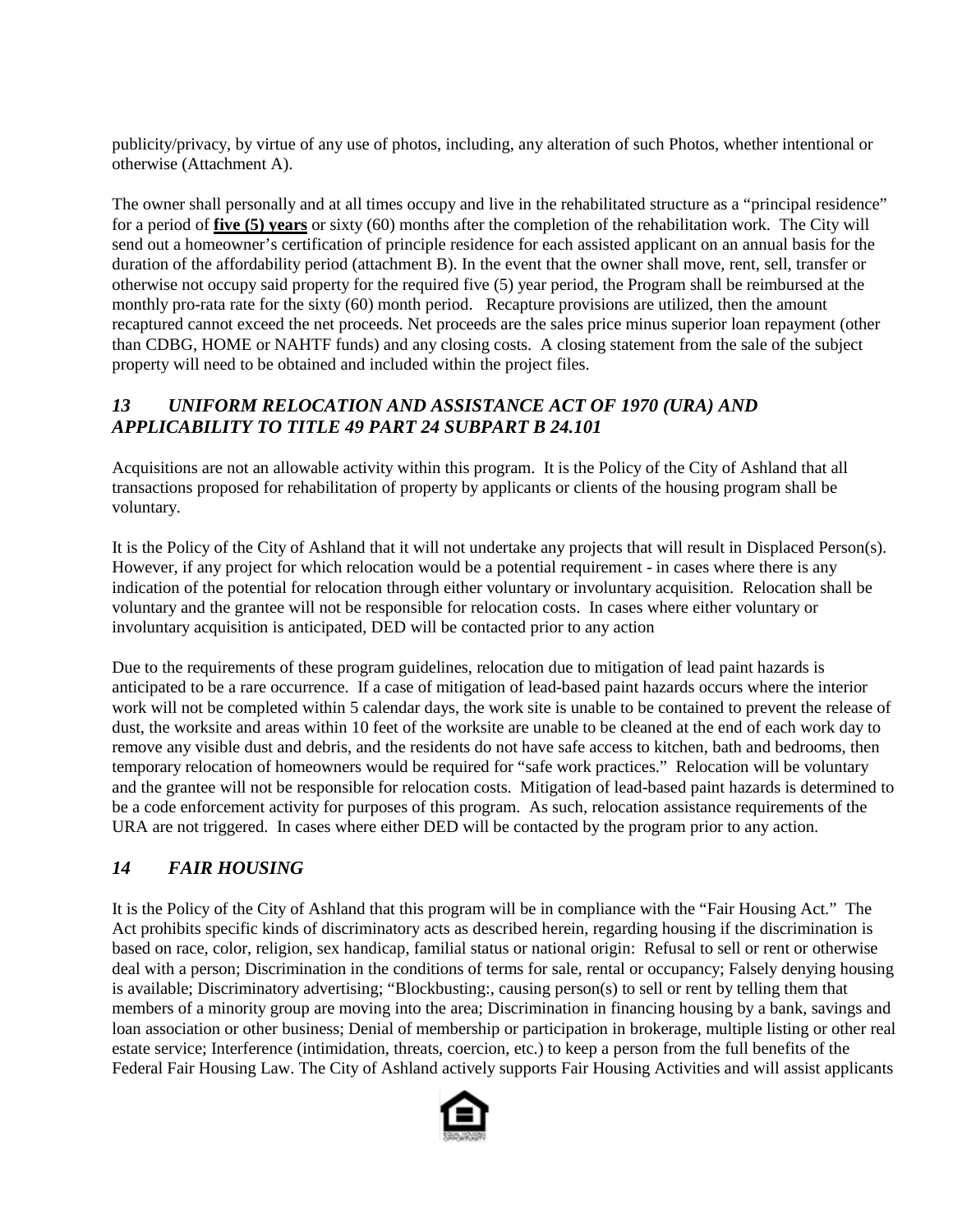publicity/privacy, by virtue of any use of photos, including, any alteration of such Photos, whether intentional or otherwise (Attachment A).

The owner shall personally and at all times occupy and live in the rehabilitated structure as a "principal residence" for a period of **five (5) years** or sixty (60) months after the completion of the rehabilitation work. The City will send out a homeowner's certification of principle residence for each assisted applicant on an annual basis for the duration of the affordability period (attachment B). In the event that the owner shall move, rent, sell, transfer or otherwise not occupy said property for the required five (5) year period, the Program shall be reimbursed at the monthly pro-rata rate for the sixty (60) month period. Recapture provisions are utilized, then the amount recaptured cannot exceed the net proceeds. Net proceeds are the sales price minus superior loan repayment (other than CDBG, HOME or NAHTF funds) and any closing costs. A closing statement from the sale of the subject property will need to be obtained and included within the project files.

# <span id="page-15-0"></span>*13 UNIFORM RELOCATION AND ASSISTANCE ACT OF 1970 (URA) AND APPLICABILITY TO TITLE 49 PART 24 SUBPART B 24.101*

Acquisitions are not an allowable activity within this program. It is the Policy of the City of Ashland that all transactions proposed for rehabilitation of property by applicants or clients of the housing program shall be voluntary.

It is the Policy of the City of Ashland that it will not undertake any projects that will result in Displaced Person(s). However, if any project for which relocation would be a potential requirement - in cases where there is any indication of the potential for relocation through either voluntary or involuntary acquisition. Relocation shall be voluntary and the grantee will not be responsible for relocation costs. In cases where either voluntary or involuntary acquisition is anticipated, DED will be contacted prior to any action

Due to the requirements of these program guidelines, relocation due to mitigation of lead paint hazards is anticipated to be a rare occurrence. If a case of mitigation of lead-based paint hazards occurs where the interior work will not be completed within 5 calendar days, the work site is unable to be contained to prevent the release of dust, the worksite and areas within 10 feet of the worksite are unable to be cleaned at the end of each work day to remove any visible dust and debris, and the residents do not have safe access to kitchen, bath and bedrooms, then temporary relocation of homeowners would be required for "safe work practices." Relocation will be voluntary and the grantee will not be responsible for relocation costs. Mitigation of lead-based paint hazards is determined to be a code enforcement activity for purposes of this program. As such, relocation assistance requirements of the URA are not triggered. In cases where either DED will be contacted by the program prior to any action.

# <span id="page-15-1"></span>*14 FAIR HOUSING*

It is the Policy of the City of Ashland that this program will be in compliance with the "Fair Housing Act." The Act prohibits specific kinds of discriminatory acts as described herein, regarding housing if the discrimination is based on race, color, religion, sex handicap, familial status or national origin: Refusal to sell or rent or otherwise deal with a person; Discrimination in the conditions of terms for sale, rental or occupancy; Falsely denying housing is available; Discriminatory advertising; "Blockbusting:, causing person(s) to sell or rent by telling them that members of a minority group are moving into the area; Discrimination in financing housing by a bank, savings and loan association or other business; Denial of membership or participation in brokerage, multiple listing or other real estate service; Interference (intimidation, threats, coercion, etc.) to keep a person from the full benefits of the Federal Fair Housing Law. The City of Ashland actively supports Fair Housing Activities and will assist applicants

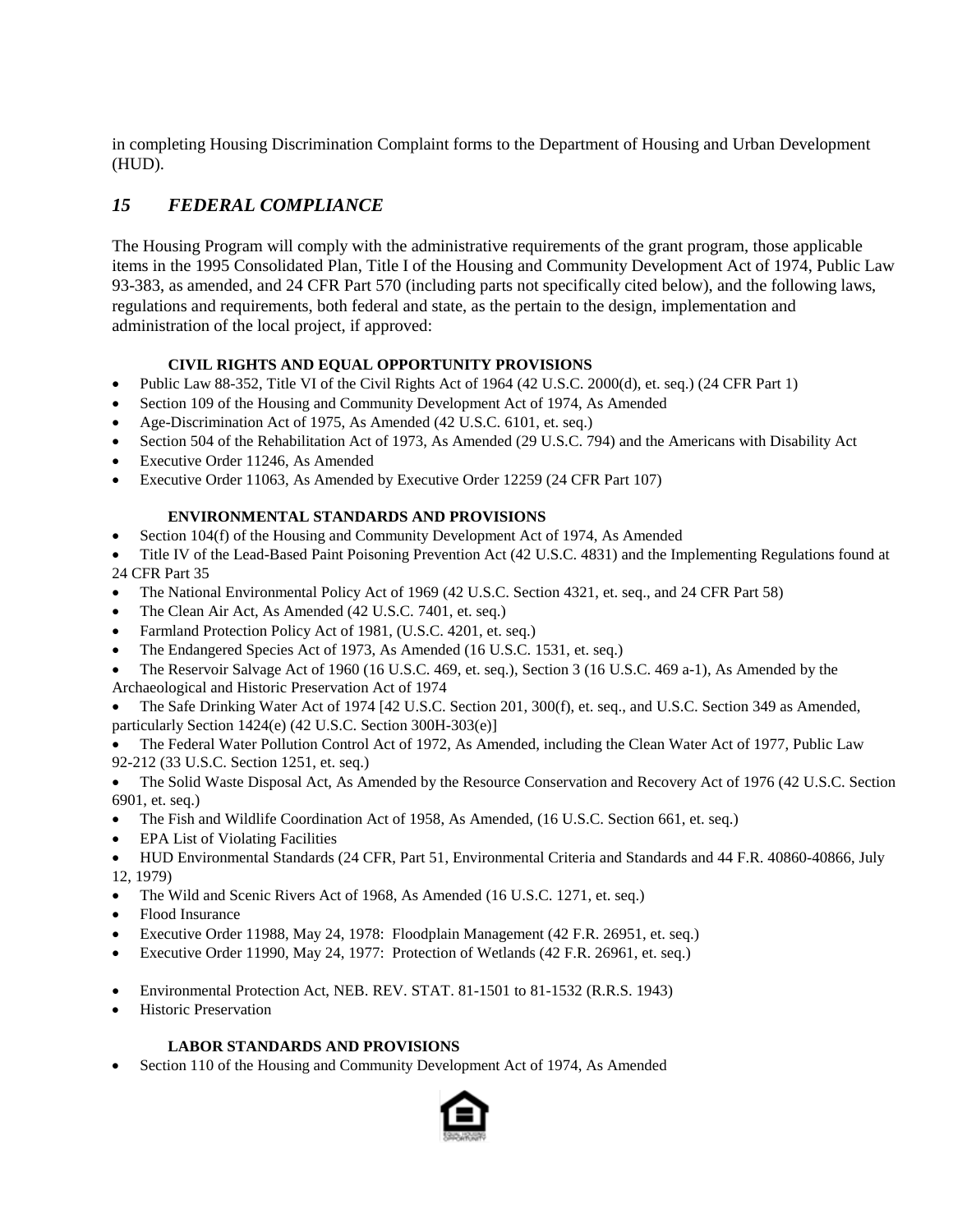in completing Housing Discrimination Complaint forms to the Department of Housing and Urban Development (HUD).

# <span id="page-16-0"></span>*15 FEDERAL COMPLIANCE*

The Housing Program will comply with the administrative requirements of the grant program, those applicable items in the 1995 Consolidated Plan, Title I of the Housing and Community Development Act of 1974, Public Law 93-383, as amended, and 24 CFR Part 570 (including parts not specifically cited below), and the following laws, regulations and requirements, both federal and state, as the pertain to the design, implementation and administration of the local project, if approved:

#### **CIVIL RIGHTS AND EQUAL OPPORTUNITY PROVISIONS**

- Public Law 88-352, Title VI of the Civil Rights Act of 1964 (42 U.S.C. 2000(d), et. seq.) (24 CFR Part 1)
- Section 109 of the Housing and Community Development Act of 1974, As Amended
- Age-Discrimination Act of 1975, As Amended (42 U.S.C. 6101, et. seq.)
- Section 504 of the Rehabilitation Act of 1973, As Amended (29 U.S.C. 794) and the Americans with Disability Act
- Executive Order 11246, As Amended
- Executive Order 11063, As Amended by Executive Order 12259 (24 CFR Part 107)

#### **ENVIRONMENTAL STANDARDS AND PROVISIONS**

- Section 104(f) of the Housing and Community Development Act of 1974, As Amended
- Title IV of the Lead-Based Paint Poisoning Prevention Act (42 U.S.C. 4831) and the Implementing Regulations found at 24 CFR Part 35
- The National Environmental Policy Act of 1969 (42 U.S.C. Section 4321, et. seq., and 24 CFR Part 58)
- The Clean Air Act, As Amended (42 U.S.C. 7401, et. seq.)
- Farmland Protection Policy Act of 1981, (U.S.C. 4201, et. seq.)
- The Endangered Species Act of 1973, As Amended (16 U.S.C. 1531, et. seq.)
- The Reservoir Salvage Act of 1960 (16 U.S.C. 469, et. seq.), Section 3 (16 U.S.C. 469 a-1), As Amended by the Archaeological and Historic Preservation Act of 1974
- The Safe Drinking Water Act of 1974 [42 U.S.C. Section 201, 300(f), et. seq., and U.S.C. Section 349 as Amended, particularly Section 1424(e) (42 U.S.C. Section 300H-303(e)]

• The Federal Water Pollution Control Act of 1972, As Amended, including the Clean Water Act of 1977, Public Law 92-212 (33 U.S.C. Section 1251, et. seq.)

- The Solid Waste Disposal Act, As Amended by the Resource Conservation and Recovery Act of 1976 (42 U.S.C. Section 6901, et. seq.)
- The Fish and Wildlife Coordination Act of 1958, As Amended, (16 U.S.C. Section 661, et. seq.)
- EPA List of Violating Facilities
- HUD Environmental Standards (24 CFR, Part 51, Environmental Criteria and Standards and 44 F.R. 40860-40866, July 12, 1979)
- The Wild and Scenic Rivers Act of 1968, As Amended (16 U.S.C. 1271, et. seq.)
- Flood Insurance
- Executive Order 11988, May 24, 1978: Floodplain Management (42 F.R. 26951, et. seq.)
- Executive Order 11990, May 24, 1977: Protection of Wetlands (42 F.R. 26961, et. seq.)
- Environmental Protection Act, NEB. REV. STAT. 81-1501 to 81-1532 (R.R.S. 1943)
- Historic Preservation

#### **LABOR STANDARDS AND PROVISIONS**

• Section 110 of the Housing and Community Development Act of 1974, As Amended